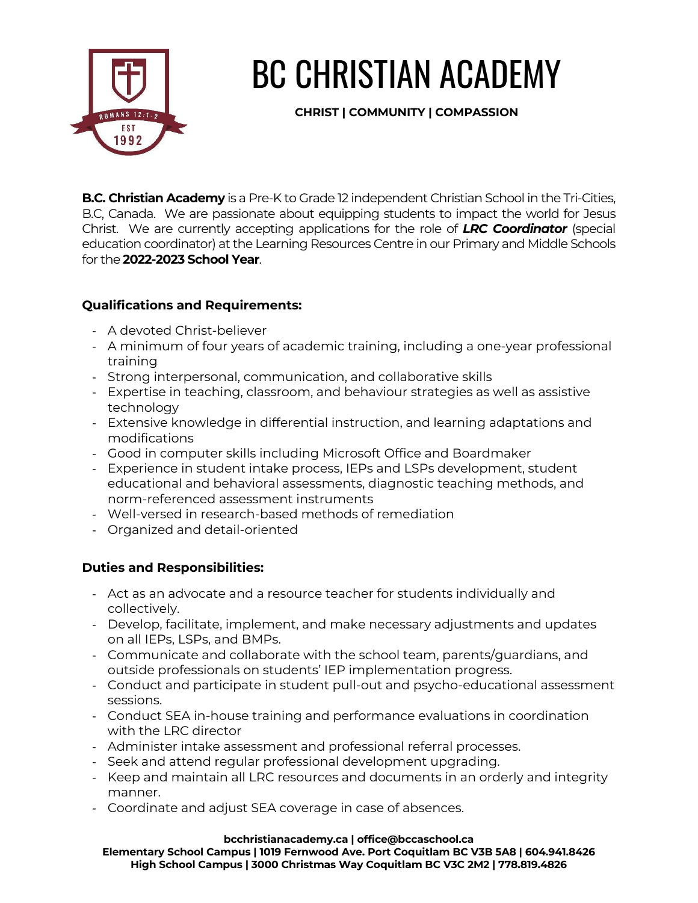

# BC CHRISTIAN ACADEMY

**CHRIST | COMMUNITY | COMPASSION**

**B.C. Christian Academy** is a Pre-K to Grade 12 independent Christian School in the Tri-Cities, B.C, Canada. We are passionate about equipping students to impact the world for Jesus Christ. We are currently accepting applications for the role of *LRC Coordinator* (special education coordinator) at the Learning Resources Centre in our Primary and Middle Schools for the **2022-2023 School Year**.

## **Qualifications and Requirements:**

- A devoted Christ-believer
- A minimum of four years of academic training, including a one-year professional training
- Strong interpersonal, communication, and collaborative skills
- Expertise in teaching, classroom, and behaviour strategies as well as assistive technology
- Extensive knowledge in differential instruction, and learning adaptations and modifications
- Good in computer skills including Microsoft Office and Boardmaker
- Experience in student intake process, IEPs and LSPs development, student educational and behavioral assessments, diagnostic teaching methods, and norm-referenced assessment instruments
- Well-versed in research-based methods of remediation
- Organized and detail-oriented

## **Duties and Responsibilities:**

- Act as an advocate and a resource teacher for students individually and collectively.
- Develop, facilitate, implement, and make necessary adjustments and updates on all IEPs, LSPs, and BMPs.
- Communicate and collaborate with the school team, parents/guardians, and outside professionals on students' IEP implementation progress.
- Conduct and participate in student pull-out and psycho-educational assessment sessions.
- Conduct SEA in-house training and performance evaluations in coordination with the LRC director
- Administer intake assessment and professional referral processes.
- Seek and attend regular professional development upgrading.
- Keep and maintain all LRC resources and documents in an orderly and integrity manner.
- Coordinate and adjust SEA coverage in case of absences.

#### **bcchristianacademy.ca | office@bccaschool.ca**

**Elementary School Campus | 1019 Fernwood Ave. Port Coquitlam BC V3B 5A8 | 604.941.8426 High School Campus | 3000 Christmas Way Coquitlam BC V3C 2M2 | 778.819.4826**